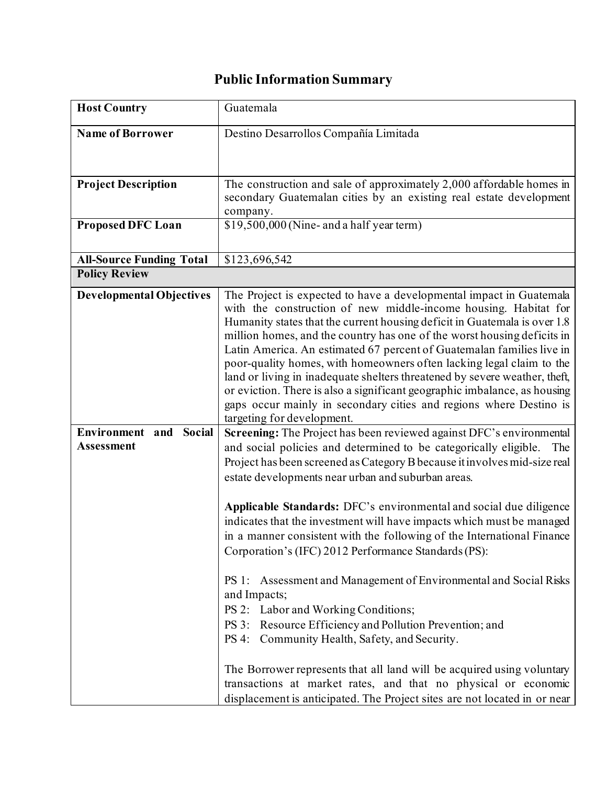## **Public Information Summary**

| <b>Host Country</b>                                      | Guatemala                                                                                                                                                                                                                                                                                                                                                                                                                                                                                                                                                                                                                                                                                                                                                                                                                                                                                                                                                                                                                            |
|----------------------------------------------------------|--------------------------------------------------------------------------------------------------------------------------------------------------------------------------------------------------------------------------------------------------------------------------------------------------------------------------------------------------------------------------------------------------------------------------------------------------------------------------------------------------------------------------------------------------------------------------------------------------------------------------------------------------------------------------------------------------------------------------------------------------------------------------------------------------------------------------------------------------------------------------------------------------------------------------------------------------------------------------------------------------------------------------------------|
| <b>Name of Borrower</b>                                  | Destino Desarrollos Compañía Limitada                                                                                                                                                                                                                                                                                                                                                                                                                                                                                                                                                                                                                                                                                                                                                                                                                                                                                                                                                                                                |
| <b>Project Description</b>                               | The construction and sale of approximately 2,000 affordable homes in<br>secondary Guatemalan cities by an existing real estate development<br>company.                                                                                                                                                                                                                                                                                                                                                                                                                                                                                                                                                                                                                                                                                                                                                                                                                                                                               |
| <b>Proposed DFC Loan</b>                                 | \$19,500,000 (Nine- and a half year term)                                                                                                                                                                                                                                                                                                                                                                                                                                                                                                                                                                                                                                                                                                                                                                                                                                                                                                                                                                                            |
| <b>All-Source Funding Total</b>                          | \$123,696,542                                                                                                                                                                                                                                                                                                                                                                                                                                                                                                                                                                                                                                                                                                                                                                                                                                                                                                                                                                                                                        |
| <b>Policy Review</b>                                     |                                                                                                                                                                                                                                                                                                                                                                                                                                                                                                                                                                                                                                                                                                                                                                                                                                                                                                                                                                                                                                      |
| <b>Developmental Objectives</b>                          | The Project is expected to have a developmental impact in Guatemala<br>with the construction of new middle-income housing. Habitat for<br>Humanity states that the current housing deficit in Guatemala is over 1.8<br>million homes, and the country has one of the worst housing deficits in<br>Latin America. An estimated 67 percent of Guatemalan families live in<br>poor-quality homes, with homeowners often lacking legal claim to the<br>land or living in inadequate shelters threatened by severe weather, theft,<br>or eviction. There is also a significant geographic imbalance, as housing<br>gaps occur mainly in secondary cities and regions where Destino is<br>targeting for development.                                                                                                                                                                                                                                                                                                                       |
| <b>Social</b><br>Environment<br>and<br><b>Assessment</b> | Screening: The Project has been reviewed against DFC's environmental<br>and social policies and determined to be categorically eligible.<br>The<br>Project has been screened as Category B because it involves mid-size real<br>estate developments near urban and suburban areas.<br>Applicable Standards: DFC's environmental and social due diligence<br>indicates that the investment will have impacts which must be managed<br>in a manner consistent with the following of the International Finance<br>Corporation's (IFC) 2012 Performance Standards (PS):<br>PS 1: Assessment and Management of Environmental and Social Risks<br>and Impacts;<br>PS 2: Labor and Working Conditions;<br>PS 3: Resource Efficiency and Pollution Prevention; and<br>PS 4: Community Health, Safety, and Security.<br>The Borrower represents that all land will be acquired using voluntary<br>transactions at market rates, and that no physical or economic<br>displacement is anticipated. The Project sites are not located in or near |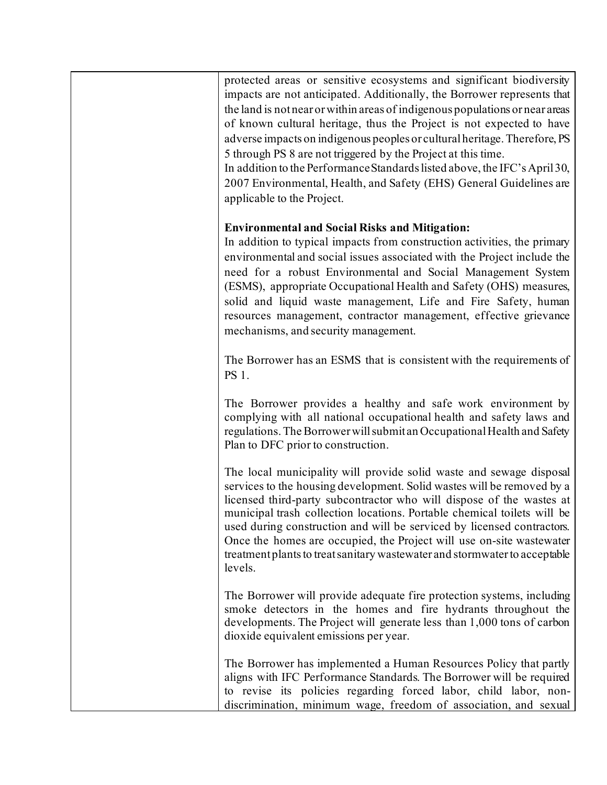| protected areas or sensitive ecosystems and significant biodiversity<br>impacts are not anticipated. Additionally, the Borrower represents that<br>the land is not near or within areas of indigenous populations or near areas<br>of known cultural heritage, thus the Project is not expected to have<br>adverse impacts on indigenous peoples or cultural heritage. Therefore, PS<br>5 through PS 8 are not triggered by the Project at this time.<br>In addition to the Performance Standards listed above, the IFC's April 30,<br>2007 Environmental, Health, and Safety (EHS) General Guidelines are<br>applicable to the Project. |
|------------------------------------------------------------------------------------------------------------------------------------------------------------------------------------------------------------------------------------------------------------------------------------------------------------------------------------------------------------------------------------------------------------------------------------------------------------------------------------------------------------------------------------------------------------------------------------------------------------------------------------------|
| <b>Environmental and Social Risks and Mitigation:</b><br>In addition to typical impacts from construction activities, the primary<br>environmental and social issues associated with the Project include the<br>need for a robust Environmental and Social Management System<br>(ESMS), appropriate Occupational Health and Safety (OHS) measures,<br>solid and liquid waste management, Life and Fire Safety, human<br>resources management, contractor management, effective grievance<br>mechanisms, and security management.                                                                                                         |
| The Borrower has an ESMS that is consistent with the requirements of<br>PS 1.                                                                                                                                                                                                                                                                                                                                                                                                                                                                                                                                                            |
| The Borrower provides a healthy and safe work environment by<br>complying with all national occupational health and safety laws and<br>regulations. The Borrower will submit an Occupational Health and Safety<br>Plan to DFC prior to construction.                                                                                                                                                                                                                                                                                                                                                                                     |
| The local municipality will provide solid waste and sewage disposal<br>services to the housing development. Solid wastes will be removed by a<br>licensed third-party subcontractor who will dispose of the wastes at<br>municipal trash collection locations. Portable chemical toilets will be<br>used during construction and will be serviced by licensed contractors.<br>Once the homes are occupied, the Project will use on-site wastewater<br>treatment plants to treat sanitary wastewater and stormwater to acceptable<br>levels.                                                                                              |
| The Borrower will provide adequate fire protection systems, including<br>smoke detectors in the homes and fire hydrants throughout the<br>developments. The Project will generate less than 1,000 tons of carbon<br>dioxide equivalent emissions per year.                                                                                                                                                                                                                                                                                                                                                                               |
| The Borrower has implemented a Human Resources Policy that partly<br>aligns with IFC Performance Standards. The Borrower will be required<br>to revise its policies regarding forced labor, child labor, non-<br>discrimination, minimum wage, freedom of association, and sexual                                                                                                                                                                                                                                                                                                                                                        |